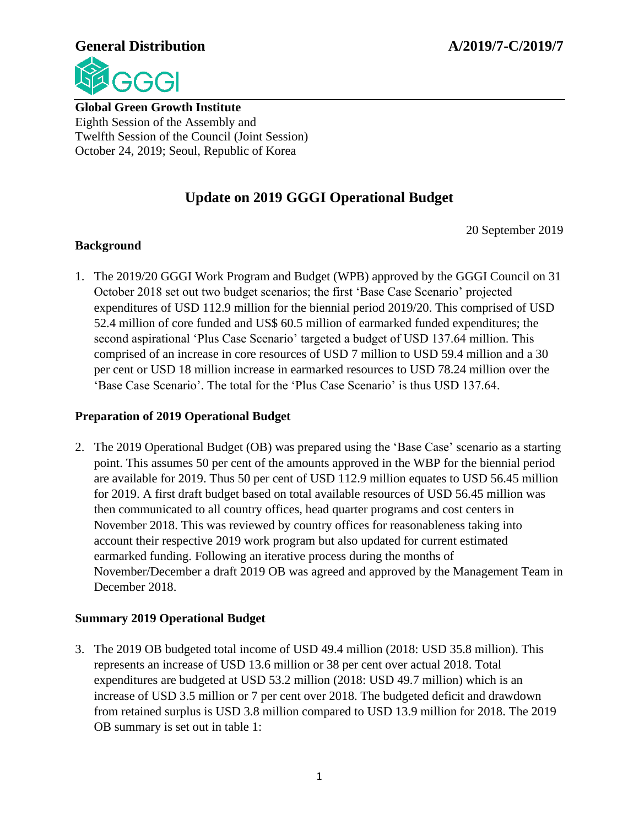

**Global Green Growth Institute** Eighth Session of the Assembly and Twelfth Session of the Council (Joint Session) October 24, 2019; Seoul, Republic of Korea

# **Update on 2019 GGGI Operational Budget**

20 September 2019

## **Background**

1. The 2019/20 GGGI Work Program and Budget (WPB) approved by the GGGI Council on 31 October 2018 set out two budget scenarios; the first 'Base Case Scenario' projected expenditures of USD 112.9 million for the biennial period 2019/20. This comprised of USD 52.4 million of core funded and US\$ 60.5 million of earmarked funded expenditures; the second aspirational 'Plus Case Scenario' targeted a budget of USD 137.64 million. This comprised of an increase in core resources of USD 7 million to USD 59.4 million and a 30 per cent or USD 18 million increase in earmarked resources to USD 78.24 million over the 'Base Case Scenario'. The total for the 'Plus Case Scenario' is thus USD 137.64.

# **Preparation of 2019 Operational Budget**

2. The 2019 Operational Budget (OB) was prepared using the 'Base Case' scenario as a starting point. This assumes 50 per cent of the amounts approved in the WBP for the biennial period are available for 2019. Thus 50 per cent of USD 112.9 million equates to USD 56.45 million for 2019. A first draft budget based on total available resources of USD 56.45 million was then communicated to all country offices, head quarter programs and cost centers in November 2018. This was reviewed by country offices for reasonableness taking into account their respective 2019 work program but also updated for current estimated earmarked funding. Following an iterative process during the months of November/December a draft 2019 OB was agreed and approved by the Management Team in December 2018.

#### **Summary 2019 Operational Budget**

3. The 2019 OB budgeted total income of USD 49.4 million (2018: USD 35.8 million). This represents an increase of USD 13.6 million or 38 per cent over actual 2018. Total expenditures are budgeted at USD 53.2 million (2018: USD 49.7 million) which is an increase of USD 3.5 million or 7 per cent over 2018. The budgeted deficit and drawdown from retained surplus is USD 3.8 million compared to USD 13.9 million for 2018. The 2019 OB summary is set out in table 1: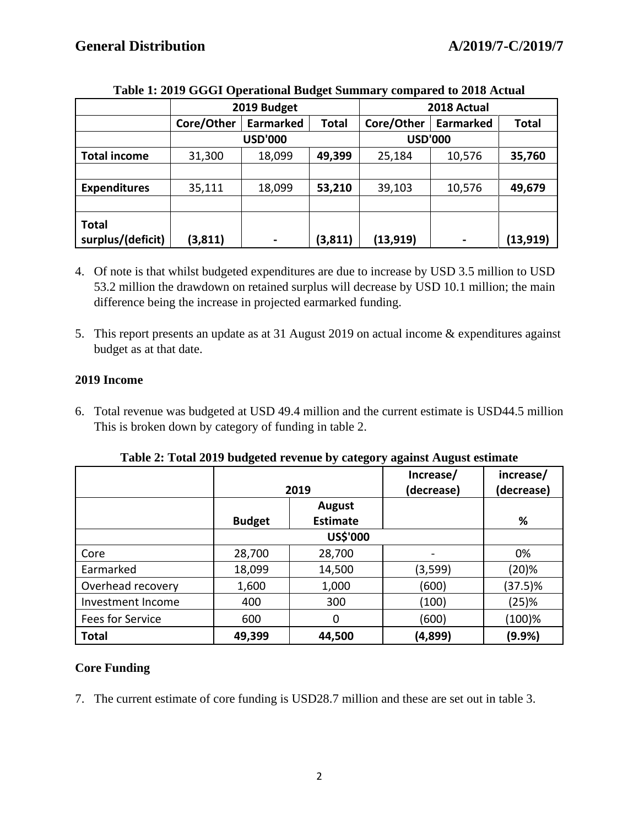|                                   | 2019 Budget    |                  |              | 2018 Actual    |                  |              |
|-----------------------------------|----------------|------------------|--------------|----------------|------------------|--------------|
|                                   | Core/Other     | <b>Earmarked</b> | <b>Total</b> | Core/Other     | <b>Earmarked</b> | <b>Total</b> |
|                                   | <b>USD'000</b> |                  |              | <b>USD'000</b> |                  |              |
| <b>Total income</b>               | 31,300         | 18,099           | 49,399       | 25,184         | 10,576           | 35,760       |
|                                   |                |                  |              |                |                  |              |
| <b>Expenditures</b>               | 35,111         | 18,099           | 53,210       | 39,103         | 10,576           | 49,679       |
|                                   |                |                  |              |                |                  |              |
| <b>Total</b><br>surplus/(deficit) | (3, 811)       |                  | (3, 811)     | (13, 919)      | $\blacksquare$   | (13, 919)    |

#### **Table 1: 2019 GGGI Operational Budget Summary compared to 2018 Actual**

- 4. Of note is that whilst budgeted expenditures are due to increase by USD 3.5 million to USD 53.2 million the drawdown on retained surplus will decrease by USD 10.1 million; the main difference being the increase in projected earmarked funding.
- 5. This report presents an update as at 31 August 2019 on actual income & expenditures against budget as at that date.

## **2019 Income**

6. Total revenue was budgeted at USD 49.4 million and the current estimate is USD44.5 million This is broken down by category of funding in table 2.

|                   |                                                   | 2019   | Increase/<br>(decrease) | increase/<br>(decrease) |
|-------------------|---------------------------------------------------|--------|-------------------------|-------------------------|
|                   | <b>August</b><br><b>Estimate</b><br><b>Budget</b> |        |                         | %                       |
|                   |                                                   |        |                         |                         |
| Core              | 28,700                                            | 28,700 |                         | 0%                      |
| Earmarked         | 18,099                                            | 14,500 | (3,599)                 | (20)%                   |
| Overhead recovery | 1,600                                             | 1,000  | (600)                   | $(37.5)\%$              |
| Investment Income | 400                                               | 300    | (100)                   | (25)%                   |
| Fees for Service  | 600                                               | 0      | (600)                   | $(100)\%$               |
| <b>Total</b>      | 49,399                                            | 44,500 | (4,899)                 | (9.9%)                  |

**Table 2: Total 2019 budgeted revenue by category against August estimate**

# **Core Funding**

7. The current estimate of core funding is USD28.7 million and these are set out in table 3.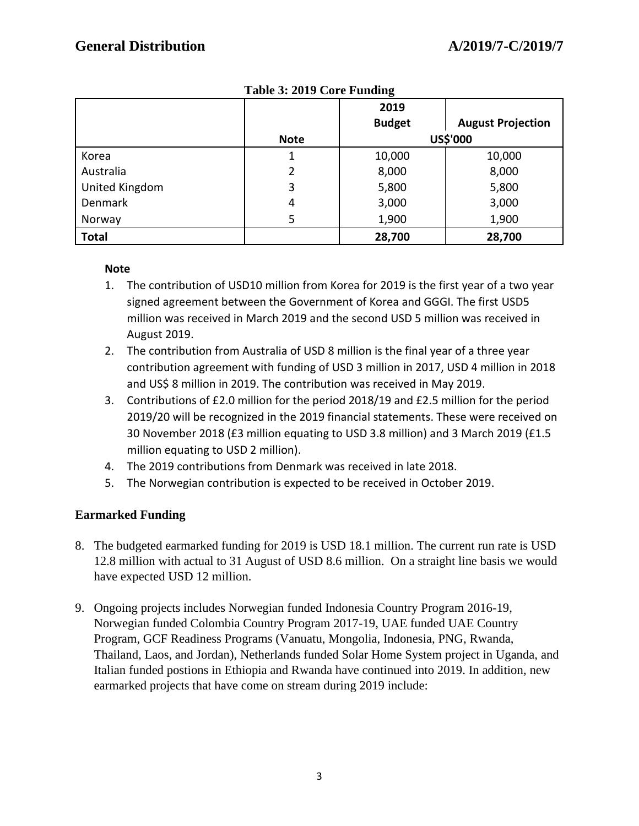|                |             | 2019          |                          |
|----------------|-------------|---------------|--------------------------|
|                |             | <b>Budget</b> | <b>August Projection</b> |
|                | <b>Note</b> |               | US\$'000                 |
| Korea          |             | 10,000        | 10,000                   |
| Australia      |             | 8,000         | 8,000                    |
| United Kingdom | 3           | 5,800         | 5,800                    |
| Denmark        | 4           | 3,000         | 3,000                    |
| Norway         | 5           | 1,900         | 1,900                    |
| <b>Total</b>   |             | 28,700        | 28,700                   |

**Table 3: 2019 Core Funding**

#### **Note**

- 1. The contribution of USD10 million from Korea for 2019 is the first year of a two year signed agreement between the Government of Korea and GGGI. The first USD5 million was received in March 2019 and the second USD 5 million was received in August 2019.
- 2. The contribution from Australia of USD 8 million is the final year of a three year contribution agreement with funding of USD 3 million in 2017, USD 4 million in 2018 and US\$ 8 million in 2019. The contribution was received in May 2019.
- 3. Contributions of £2.0 million for the period 2018/19 and £2.5 million for the period 2019/20 will be recognized in the 2019 financial statements. These were received on 30 November 2018 (£3 million equating to USD 3.8 million) and 3 March 2019 (£1.5 million equating to USD 2 million).
- 4. The 2019 contributions from Denmark was received in late 2018.
- 5. The Norwegian contribution is expected to be received in October 2019.

# **Earmarked Funding**

- 8. The budgeted earmarked funding for 2019 is USD 18.1 million. The current run rate is USD 12.8 million with actual to 31 August of USD 8.6 million. On a straight line basis we would have expected USD 12 million.
- 9. Ongoing projects includes Norwegian funded Indonesia Country Program 2016-19, Norwegian funded Colombia Country Program 2017-19, UAE funded UAE Country Program, GCF Readiness Programs (Vanuatu, Mongolia, Indonesia, PNG, Rwanda, Thailand, Laos, and Jordan), Netherlands funded Solar Home System project in Uganda, and Italian funded postions in Ethiopia and Rwanda have continued into 2019. In addition, new earmarked projects that have come on stream during 2019 include: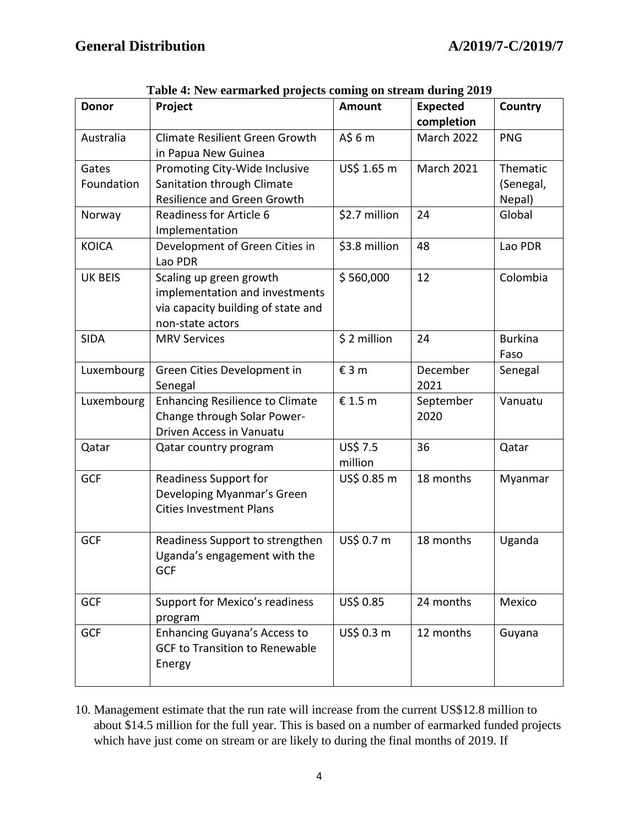| <b>Donor</b>        | Project                                                                                                             | <b>Amount</b>       | <b>Expected</b>   | Country                         |
|---------------------|---------------------------------------------------------------------------------------------------------------------|---------------------|-------------------|---------------------------------|
|                     |                                                                                                                     |                     | completion        |                                 |
| Australia           | <b>Climate Resilient Green Growth</b><br>in Papua New Guinea                                                        | $A\$ 6 m            | March 2022        | <b>PNG</b>                      |
| Gates<br>Foundation | Promoting City-Wide Inclusive<br>Sanitation through Climate<br><b>Resilience and Green Growth</b>                   | US\$ 1.65 m         | <b>March 2021</b> | Thematic<br>(Senegal,<br>Nepal) |
| Norway              | <b>Readiness for Article 6</b><br>Implementation                                                                    | \$2.7 million       | 24                | Global                          |
| <b>KOICA</b>        | Development of Green Cities in<br>Lao PDR                                                                           | \$3.8 million       | 48                | Lao PDR                         |
| <b>UK BEIS</b>      | Scaling up green growth<br>implementation and investments<br>via capacity building of state and<br>non-state actors | \$560,000           | 12                | Colombia                        |
| <b>SIDA</b>         | <b>MRV Services</b>                                                                                                 | \$2 million         | 24                | <b>Burkina</b><br>Faso          |
| Luxembourg          | Green Cities Development in<br>Senegal                                                                              | £3m                 | December<br>2021  | Senegal                         |
| Luxembourg          | <b>Enhancing Resilience to Climate</b><br>Change through Solar Power-<br>Driven Access in Vanuatu                   | € 1.5 m             | September<br>2020 | Vanuatu                         |
| Qatar               | Qatar country program                                                                                               | US\$ 7.5<br>million | 36                | Qatar                           |
| <b>GCF</b>          | <b>Readiness Support for</b><br>Developing Myanmar's Green<br><b>Cities Investment Plans</b>                        | US\$ 0.85 m         | 18 months         | Myanmar                         |
| GCF                 | Readiness Support to strengthen<br>Uganda's engagement with the<br>GCF                                              | US\$ 0.7 m          | 18 months         | Uganda                          |
| GCF                 | Support for Mexico's readiness<br>program                                                                           | US\$ 0.85           | 24 months         | Mexico                          |
| <b>GCF</b>          | <b>Enhancing Guyana's Access to</b><br><b>GCF to Transition to Renewable</b><br>Energy                              | US\$ 0.3 m          | 12 months         | Guyana                          |

| Table 4: New earmarked projects coming on stream during 2019 |  |  |  |
|--------------------------------------------------------------|--|--|--|
|                                                              |  |  |  |

10. Management estimate that the run rate will increase from the current US\$12.8 million to about \$14.5 million for the full year. This is based on a number of earmarked funded projects which have just come on stream or are likely to during the final months of 2019. If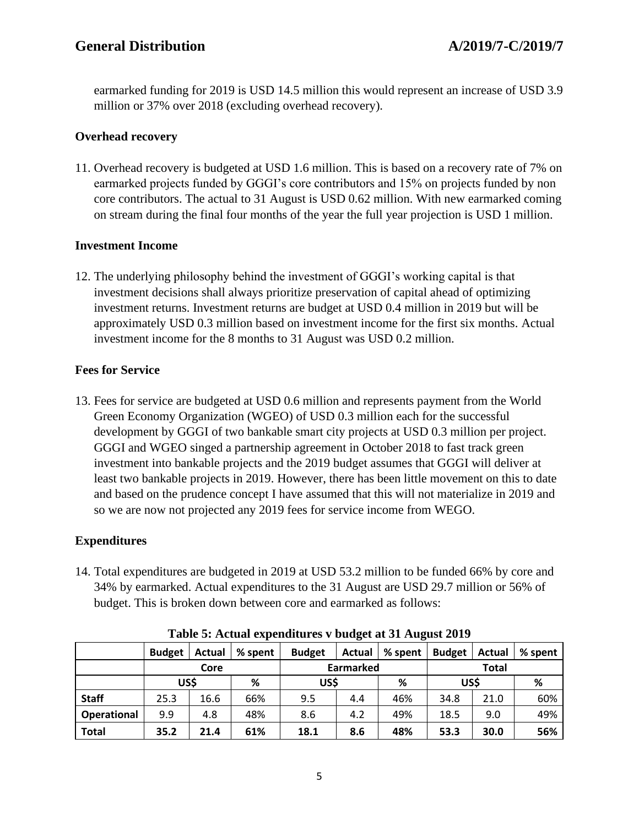earmarked funding for 2019 is USD 14.5 million this would represent an increase of USD 3.9 million or 37% over 2018 (excluding overhead recovery).

# **Overhead recovery**

11. Overhead recovery is budgeted at USD 1.6 million. This is based on a recovery rate of 7% on earmarked projects funded by GGGI's core contributors and 15% on projects funded by non core contributors. The actual to 31 August is USD 0.62 million. With new earmarked coming on stream during the final four months of the year the full year projection is USD 1 million.

## **Investment Income**

12. The underlying philosophy behind the investment of GGGI's working capital is that investment decisions shall always prioritize preservation of capital ahead of optimizing investment returns. Investment returns are budget at USD 0.4 million in 2019 but will be approximately USD 0.3 million based on investment income for the first six months. Actual investment income for the 8 months to 31 August was USD 0.2 million.

## **Fees for Service**

13. Fees for service are budgeted at USD 0.6 million and represents payment from the World Green Economy Organization (WGEO) of USD 0.3 million each for the successful development by GGGI of two bankable smart city projects at USD 0.3 million per project. GGGI and WGEO singed a partnership agreement in October 2018 to fast track green investment into bankable projects and the 2019 budget assumes that GGGI will deliver at least two bankable projects in 2019. However, there has been little movement on this to date and based on the prudence concept I have assumed that this will not materialize in 2019 and so we are now not projected any 2019 fees for service income from WEGO.

# **Expenditures**

14. Total expenditures are budgeted in 2019 at USD 53.2 million to be funded 66% by core and 34% by earmarked. Actual expenditures to the 31 August are USD 29.7 million or 56% of budget. This is broken down between core and earmarked as follows:

|              | <b>Budget</b> | Actual | % spent          | <b>Budget</b> | Actual | % spent      | <b>Budget</b> | Actual | % spent |
|--------------|---------------|--------|------------------|---------------|--------|--------------|---------------|--------|---------|
|              | Core          |        | <b>Earmarked</b> |               |        | <b>Total</b> |               |        |         |
|              | US\$          |        | %                | US\$          |        | %            | US\$          |        | %       |
| <b>Staff</b> | 25.3          | 16.6   | 66%              | 9.5           | 4.4    | 46%          | 34.8          | 21.0   | 60%     |
| Operational  | 9.9           | 4.8    | 48%              | 8.6           | 4.2    | 49%          | 18.5          | 9.0    | 49%     |
| <b>Total</b> | 35.2          | 21.4   | 61%              | 18.1          | 8.6    | 48%          | 53.3          | 30.0   | 56%     |

**Table 5: Actual expenditures v budget at 31 August 2019**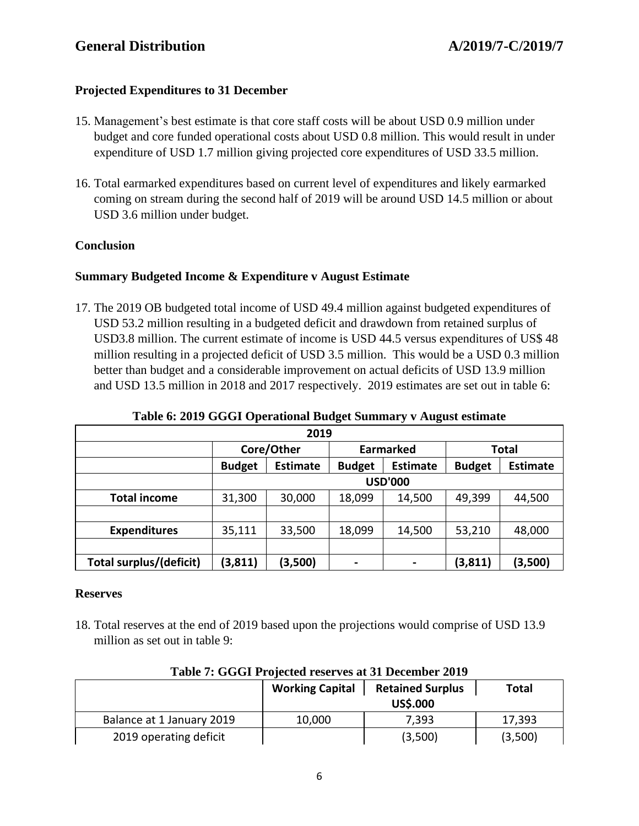#### **Projected Expenditures to 31 December**

- 15. Management's best estimate is that core staff costs will be about USD 0.9 million under budget and core funded operational costs about USD 0.8 million. This would result in under expenditure of USD 1.7 million giving projected core expenditures of USD 33.5 million.
- 16. Total earmarked expenditures based on current level of expenditures and likely earmarked coming on stream during the second half of 2019 will be around USD 14.5 million or about USD 3.6 million under budget.

#### **Conclusion**

## **Summary Budgeted Income & Expenditure v August Estimate**

17. The 2019 OB budgeted total income of USD 49.4 million against budgeted expenditures of USD 53.2 million resulting in a budgeted deficit and drawdown from retained surplus of USD3.8 million. The current estimate of income is USD 44.5 versus expenditures of US\$ 48 million resulting in a projected deficit of USD 3.5 million. This would be a USD 0.3 million better than budget and a considerable improvement on actual deficits of USD 13.9 million and USD 13.5 million in 2018 and 2017 respectively. 2019 estimates are set out in table 6:

| 2019                           |                |                 |               |                  |               |                 |
|--------------------------------|----------------|-----------------|---------------|------------------|---------------|-----------------|
|                                |                | Core/Other      |               | <b>Earmarked</b> | Total         |                 |
|                                | <b>Budget</b>  | <b>Estimate</b> | <b>Budget</b> | <b>Estimate</b>  | <b>Budget</b> | <b>Estimate</b> |
|                                | <b>USD'000</b> |                 |               |                  |               |                 |
| <b>Total income</b>            | 31,300         | 30,000          | 18,099        | 14,500           | 49,399        | 44,500          |
|                                |                |                 |               |                  |               |                 |
| <b>Expenditures</b>            | 35,111         | 33,500          | 18,099        | 14,500           | 53,210        | 48,000          |
|                                |                |                 |               |                  |               |                 |
| <b>Total surplus/(deficit)</b> | (3, 811)       | (3,500)         |               | ۰                | (3, 811)      | (3,500)         |

#### **Table 6: 2019 GGGI Operational Budget Summary v August estimate**

#### **Reserves**

18. Total reserves at the end of 2019 based upon the projections would comprise of USD 13.9 million as set out in table 9:

|                           | <b>Working Capital</b> | <b>Retained Surplus</b> | Total   |
|---------------------------|------------------------|-------------------------|---------|
|                           |                        | <b>US\$.000</b>         |         |
| Balance at 1 January 2019 | 10,000                 | 7,393                   | 17,393  |
| 2019 operating deficit    |                        | (3,500)                 | (3,500) |

#### **Table 7: GGGI Projected reserves at 31 December 2019**